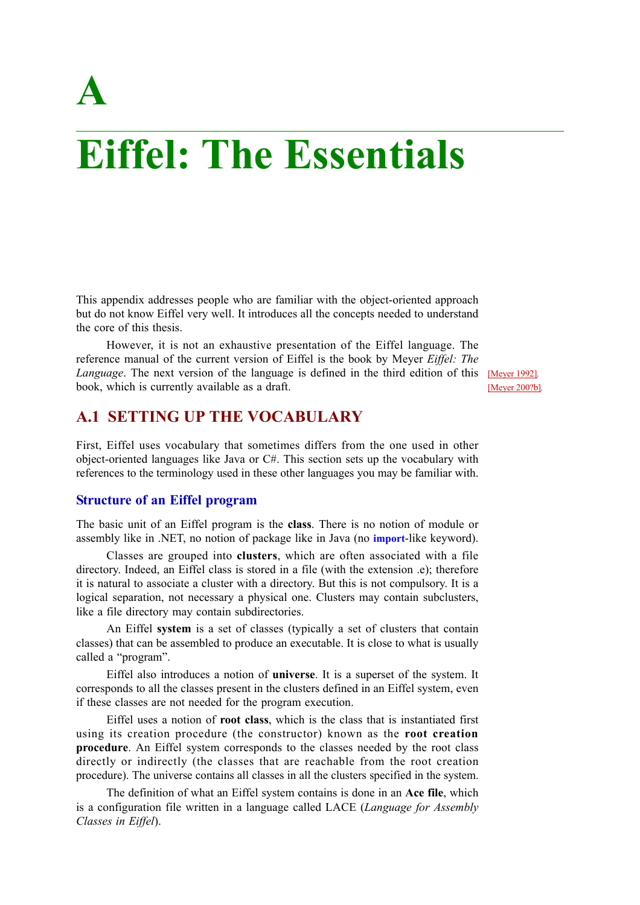# **A**

# **Eiffel: The Essentials**

This appendix addresses people who are familiar with the object-oriented approach but do not know Eiffel very well. It introduces all the concepts needed to understand the core of this thesis.

However, it is not an exhaustive presentation of the Eiffel language. The reference manual of the current version of Eiffel is the book by Meyer *Eiffel: The* Language. The next version of the language is defined in the third edition of this **[Meyer 1992]**. book, which is currently available as a draft.

[Meyer 200?b]*.*

# **A.1 SETTING UP THE VOCABULARY**

First, Eiffel uses vocabulary that sometimes differs from the one used in other object-oriented languages like Java or C#. This section sets up the vocabulary with references to the terminology used in these other languages you may be familiar with.

### **Structure of an Eiffel program**

The basic unit of an Eiffel program is the **class**. There is no notion of module or assembly like in .NET, no notion of package like in Java (no **import**-like keyword).

Classes are grouped into **clusters**, which are often associated with a file directory. Indeed, an Eiffel class is stored in a file (with the extension .e); therefore it is natural to associate a cluster with a directory. But this is not compulsory. It is a logical separation, not necessary a physical one. Clusters may contain subclusters, like a file directory may contain subdirectories.

An Eiffel **system** is a set of classes (typically a set of clusters that contain classes) that can be assembled to produce an executable. It is close to what is usually called a "program".

Eiffel also introduces a notion of **universe**. It is a superset of the system. It corresponds to all the classes present in the clusters defined in an Eiffel system, even if these classes are not needed for the program execution.

Eiffel uses a notion of **root class**, which is the class that is instantiated first using its creation procedure (the constructor) known as the **root creation procedure**. An Eiffel system corresponds to the classes needed by the root class directly or indirectly (the classes that are reachable from the root creation procedure). The universe contains all classes in all the clusters specified in the system.

The definition of what an Eiffel system contains is done in an **Ace file**, which is a configuration file written in a language called LACE (*Language for Assembly Classes in Eiffel*).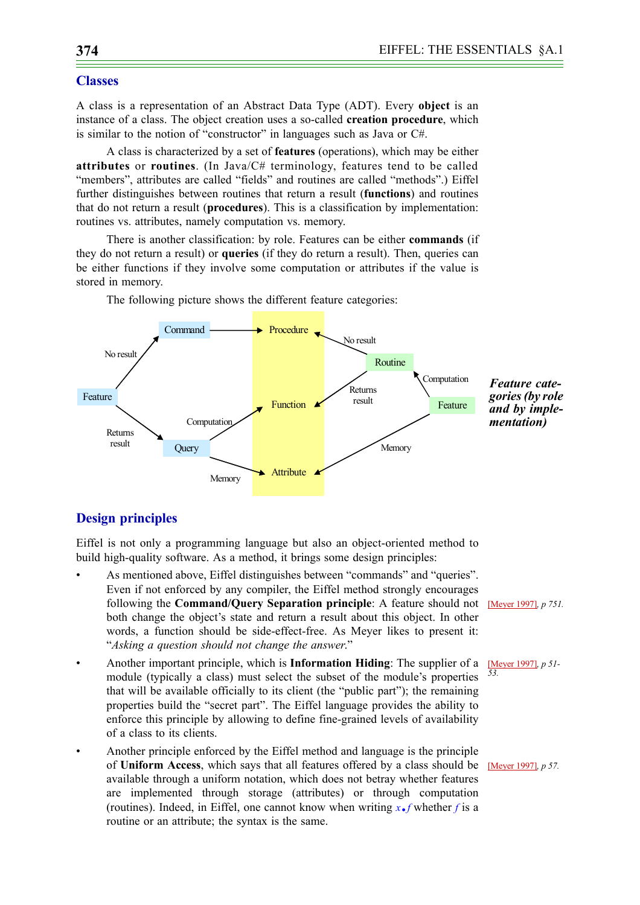#### **Classes**

A class is a representation of an Abstract Data Type (ADT). Every **object** is an instance of a class. The object creation uses a so-called **creation procedure**, which is similar to the notion of "constructor" in languages such as Java or C#.

A class is characterized by a set of **features** (operations), which may be either **attributes** or **routines**. (In Java/C# terminology, features tend to be called "members", attributes are called "fields" and routines are called "methods".) Eiffel further distinguishes between routines that return a result (**functions**) and routines that do not return a result (**procedures**). This is a classification by implementation: routines vs. attributes, namely computation vs. memory.

There is another classification: by role. Features can be either **commands** (if they do not return a result) or **queries** (if they do return a result). Then, queries can be either functions if they involve some computation or attributes if the value is stored in memory.



The following picture shows the different feature categories:

# <span id="page-1-0"></span>**Design principles**

Eiffel is not only a programming language but also an object-oriented method to build high-quality software. As a method, it brings some design principles:

- As mentioned above, Eiffel distinguishes between "commands" and "queries". Even if not enforced by any compiler, the Eiffel method strongly encourages following the **Command/Query Separation principle**: A feature should not [Meyer 1997]*, p 751.* both change the object's state and return a result about this object. In other words, a function should be side-effect-free. As Meyer likes to present it: "*Asking a question should not change the answer*."
- Another important principle, which is **Information Hiding**: The supplier of a module (typically a class) must select the subset of the module's properties that will be available officially to its client (the "public part"); the remaining properties build the "secret part". The Eiffel language provides the ability to enforce this principle by allowing to define fine-grained levels of availability of a class to its clients.
- Another principle enforced by the Eiffel method and language is the principle of **Uniform Access**, which says that all features offered by a class should be [Meyer 1997]*, p 57.*available through a uniform notation, which does not betray whether features are implemented through storage (attributes) or through computation (routines). Indeed, in Eiffel, one cannot know when writing  $x \cdot f$  whether *f* is a routine or an attribute; the syntax is the same.

[Meyer 1997]*, p 51- 53.*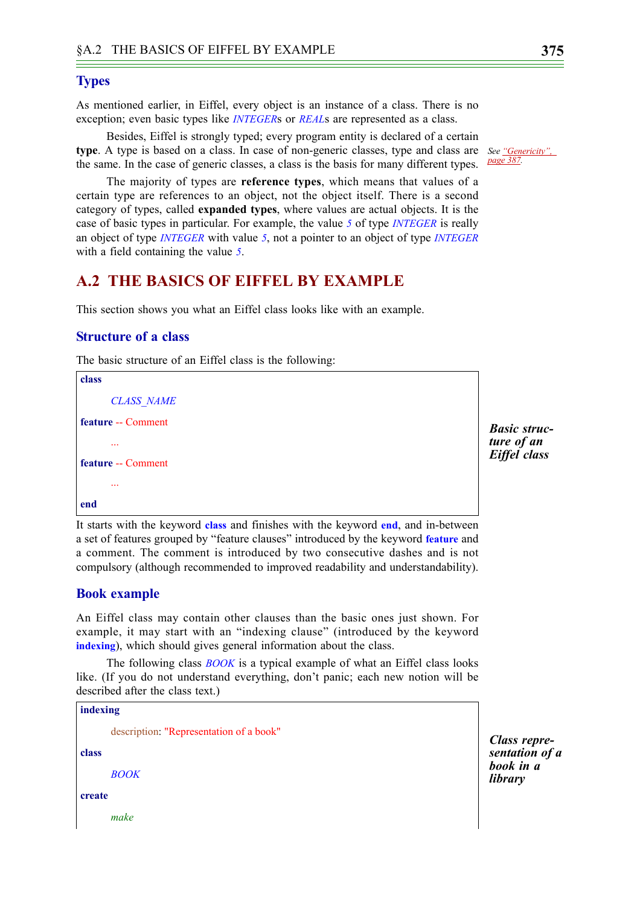#### **Types**

As mentioned earlier, in Eiffel, every object is an instance of a class. There is no exception; even basic types like *INTEGER*s or *REAL*s are represented as a class.

Besides, Eiffel is strongly typed; every program entity is declared of a certain **type**. A type is based on a class. In case of non-generic classes, type and class are *See ["Genericity",](#page-14-0)*  the same. In the case of generic classes, a class is the basis for many different types.

The majority of types are **reference types**, which means that values of a certain type are references to an object, not the object itself. There is a second category of types, called **expanded types**, where values are actual objects. It is the case of basic types in particular. For example, the value *5* of type *INTEGER* is really an object of type *INTEGER* with value *5*, not a pointer to an object of type *INTEGER* with a field containing the value *5*.

# **A.2 THE BASICS OF EIFFEL BY EXAMPLE**

This section shows you what an Eiffel class looks like with an example.

#### **Structure of a class**

The basic structure of an Eiffel class is the following:

```
class
      CLASS_NAME
feature -- Comment
       ...
feature -- Comment
       ...
end
```
It starts with the keyword **class** and finishes with the keyword **end**, and in-between a set of features grouped by "feature clauses" introduced by the keyword **feature** and a comment. The comment is introduced by two consecutive dashes and is not compulsory (although recommended to improved readability and understandability).

#### **Book example**

An Eiffel class may contain other clauses than the basic ones just shown. For example, it may start with an "indexing clause" (introduced by the keyword **indexing**), which should gives general information about the class.

The following class *BOOK* is a typical example of what an Eiffel class looks like. (If you do not understand everything, don't panic; each new notion will be described after the class text.)

```
indexing
       description: "Representation of a book"
class
       BOOK
create
       make
```
*Class representation of a book in a library*

*Basic structure of an Eiffel class*

*[page 387](#page-14-0).*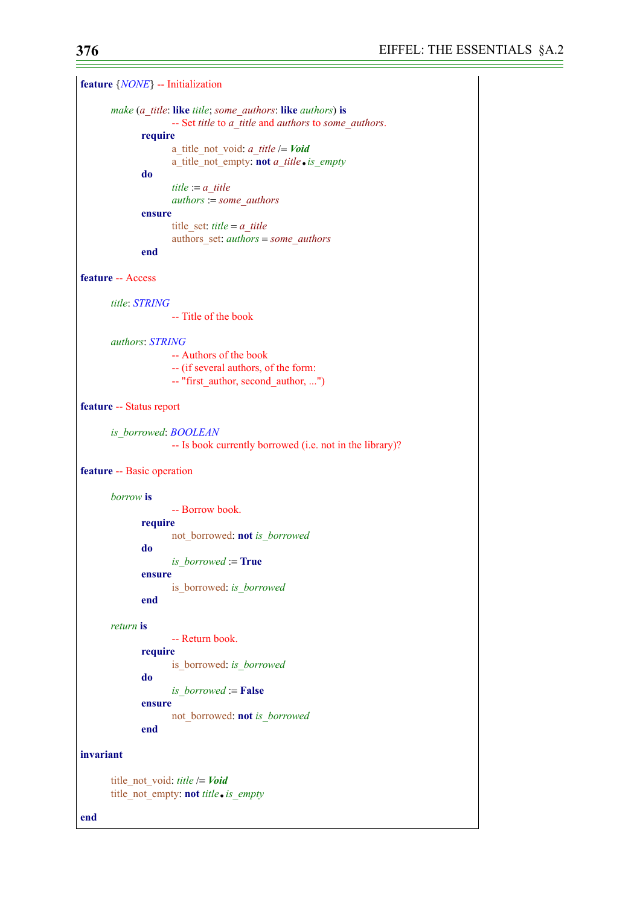**feature** {*NONE*} -- Initialization *make* (*a\_title*: **like** *title*; *some\_authors*: **like** *authors*) **is** -- Set *title* to *a\_title* and *authors* to *some\_authors*. **require** a\_title\_not\_void: *a\_title* /= *Void* a\_title\_not\_empty: **not** *a\_title*.*is\_empty* **do** *title* := *a\_title authors* := *some\_authors* **ensure** title\_set: *title* = *a\_title* authors\_set: *authors* = *some\_authors* **end feature** -- Access *title*: *STRING* -- Title of the book *authors*: *STRING* -- Authors of the book -- (if several authors, of the form: -- "first\_author, second\_author, ...") **feature** -- Status report *is\_borrowed*: *BOOLEAN* -- Is book currently borrowed (i.e. not in the library)? **feature** -- Basic operation *borrow* **is** -- Borrow book. **require** not\_borrowed: **not** *is\_borrowed* **do** *is\_borrowed* := **True ensure** is\_borrowed: *is\_borrowed* **end** *return* **is** -- Return book. **require** is\_borrowed: *is\_borrowed* **do** *is\_borrowed* := **False ensure** not\_borrowed: **not** *is\_borrowed* **end invariant** title\_not\_void: *title* /= *Void* title\_not\_empty: **not** *title*.*is\_empty*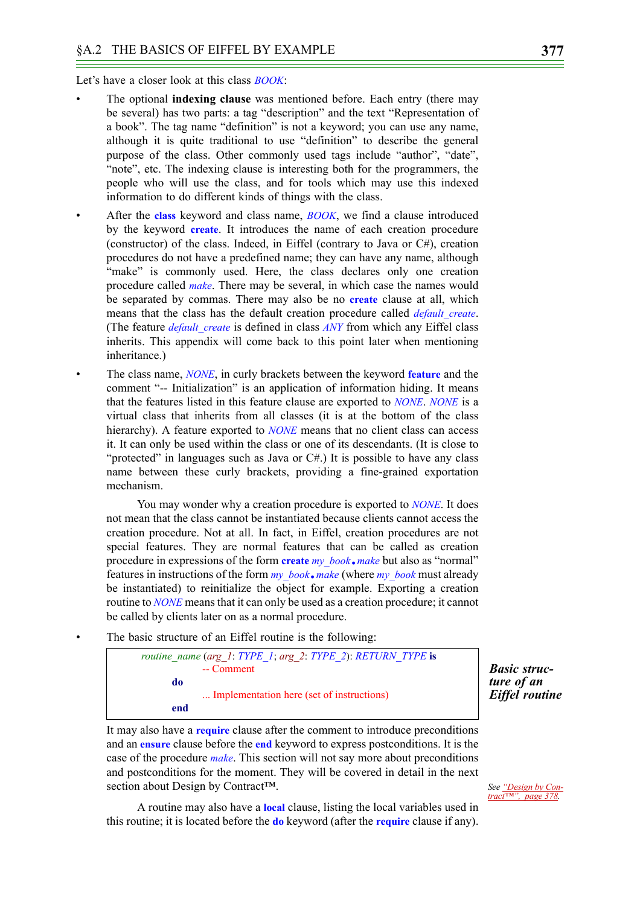Let's have a closer look at this class *BOOK*:

- The optional **indexing clause** was mentioned before. Each entry (there may be several) has two parts: a tag "description" and the text "Representation of a book". The tag name "definition" is not a keyword; you can use any name, although it is quite traditional to use "definition" to describe the general purpose of the class. Other commonly used tags include "author", "date", "note", etc. The indexing clause is interesting both for the programmers, the people who will use the class, and for tools which may use this indexed information to do different kinds of things with the class.
- After the **class** keyword and class name, *BOOK*, we find a clause introduced by the keyword **create**. It introduces the name of each creation procedure (constructor) of the class. Indeed, in Eiffel (contrary to Java or  $C#$ ), creation procedures do not have a predefined name; they can have any name, although "make" is commonly used. Here, the class declares only one creation procedure called *make*. There may be several, in which case the names would be separated by commas. There may also be no **create** clause at all, which means that the class has the default creation procedure called *default create*. (The feature *default\_create* is defined in class *ANY* from which any Eiffel class inherits. This appendix will come back to this point later when mentioning inheritance.)
- The class name, *NONE*, in curly brackets between the keyword **feature** and the comment "-- Initialization" is an application of information hiding. It means that the features listed in this feature clause are exported to *NONE*. *NONE* is a virtual class that inherits from all classes (it is at the bottom of the class hierarchy). A feature exported to *NONE* means that no client class can access it. It can only be used within the class or one of its descendants. (It is close to "protected" in languages such as Java or  $C#$ .) It is possible to have any class name between these curly brackets, providing a fine-grained exportation mechanism.

You may wonder why a creation procedure is exported to *NONE*. It does not mean that the class cannot be instantiated because clients cannot access the creation procedure. Not at all. In fact, in Eiffel, creation procedures are not special features. They are normal features that can be called as creation procedure in expressions of the form **create** *my\_book*.*make* but also as "normal" features in instructions of the form *my\_book*.*make* (where *my\_book* must already be instantiated) to reinitialize the object for example. Exporting a creation routine to *NONE* means that it can only be used as a creation procedure; it cannot be called by clients later on as a normal procedure.

The basic structure of an Eiffel routine is the following:

| routine name (arg 1: TYPE 1; arg 2: TYPE 2): RETURN TYPE is |                                           |
|-------------------------------------------------------------|-------------------------------------------|
|                                                             | -- Comment                                |
| do                                                          |                                           |
|                                                             | Implementation here (set of instructions) |
| end                                                         |                                           |

*Basic structure of an Eiffel routine*

It may also have a **require** clause after the comment to introduce preconditions and an **ensure** clause before the **end** keyword to express postconditions. It is the case of the procedure *make*. This section will not say more about preconditions and postconditions for the moment. They will be covered in detail in the next section about Design by Contract<sup>™.</sup>

A routine may also have a **local** clause, listing the local variables used in this routine; it is located before the **do** keyword (after the **require** clause if any).

*See ["Design by Con](#page-5-0)[tract™", page 378.](#page-5-0)*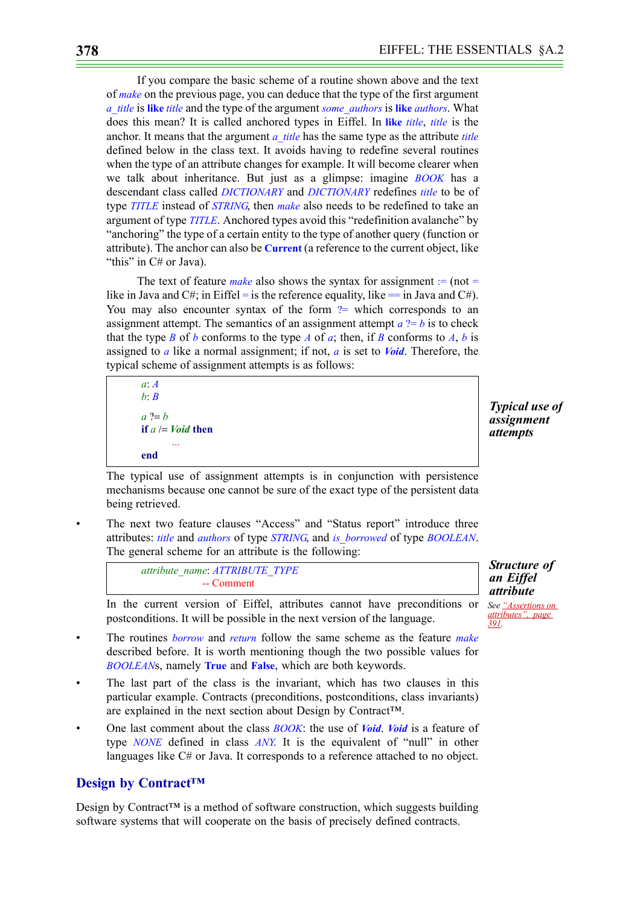If you compare the basic scheme of a routine shown above and the text of *make* on the previous page, you can deduce that the type of the first argument *a\_title* is **like** *title* and the type of the argument *some\_authors* is **like** *authors*. What does this mean? It is called anchored types in Eiffel. In **like** *title*, *title* is the anchor. It means that the argument *a* title has the same type as the attribute *title* defined below in the class text. It avoids having to redefine several routines when the type of an attribute changes for example. It will become clearer when we talk about inheritance. But just as a glimpse: imagine *BOOK* has a descendant class called *DICTIONARY* and *DICTIONARY* redefines *title* to be of type *TITLE* instead of *STRING*, then *make* also needs to be redefined to take an argument of type *TITLE*. Anchored types avoid this "redefinition avalanche" by "anchoring" the type of a certain entity to the type of another query (function or attribute). The anchor can also be **Current** (a reference to the current object, like "this" in C# or Java).

The text of feature *make* also shows the syntax for assignment  $=$  (not  $=$ like in Java and C#; in Eiffel = is the reference equality, like == in Java and C#). You may also encounter syntax of the form  $?$  which corresponds to an assignment attempt. The semantics of an assignment attempt  $a$  ?=  $b$  is to check that the type *B* of *b* conforms to the type *A* of *a*; then, if *B* conforms to *A*, *b* is assigned to *a* like a normal assignment; if not, *a* is set to *Void*. Therefore, the typical scheme of assignment attempts is as follows:

```
a: A
b: B
a ?= bif a /= Void then
       ...
end
```
*Typical use of assignment attempts*

<span id="page-5-1"></span>*Structure of an Eiffel attribute See ["Assertions on](#page-18-0)  [attributes", page](#page-18-0)* 

*[391.](#page-18-0)*

The typical use of assignment attempts is in conjunction with persistence mechanisms because one cannot be sure of the exact type of the persistent data being retrieved.

The next two feature clauses "Access" and "Status report" introduce three attributes: *title* and *authors* of type *STRING*, and *is\_borrowed* of type *BOOLEAN*. The general scheme for an attribute is the following:

> *attribute\_name*: *ATTRIBUTE\_TYPE* -- Comment

In the current version of Eiffel, attributes cannot have preconditions or postconditions. It will be possible in the next version of the language.

- The routines *borrow* and *return* follow the same scheme as the feature *make* described before. It is worth mentioning though the two possible values for *BOOLEAN*s, namely **True** and **False**, which are both keywords.
- The last part of the class is the invariant, which has two clauses in this particular example. Contracts (preconditions, postconditions, class invariants) are explained in the next section about Design by Contract™.
- One last comment about the class *BOOK*: the use of *Void*. *Void* is a feature of type *NONE* defined in class *ANY*. It is the equivalent of "null" in other languages like C# or Java. It corresponds to a reference attached to no object.

## <span id="page-5-0"></span>**Design by Contract™**

Design by Contract<sup>™</sup> is a method of software construction, which suggests building software systems that will cooperate on the basis of precisely defined contracts.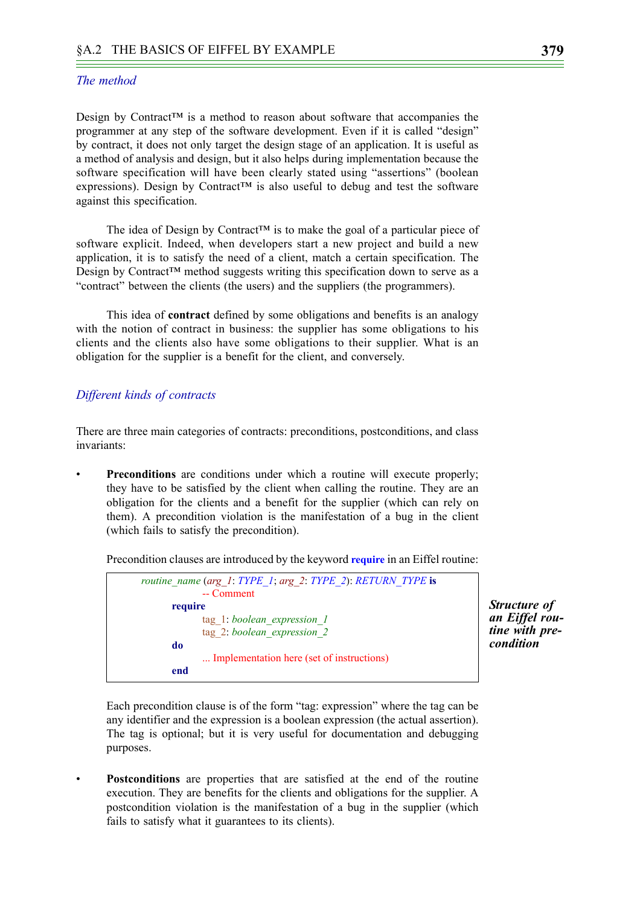#### *The method*

Design by Contract<sup>™</sup> is a method to reason about software that accompanies the programmer at any step of the software development. Even if it is called "design" by contract, it does not only target the design stage of an application. It is useful as a method of analysis and design, but it also helps during implementation because the software specification will have been clearly stated using "assertions" (boolean expressions). Design by Contract<sup>™</sup> is also useful to debug and test the software against this specification.

The idea of Design by Contract<sup>™</sup> is to make the goal of a particular piece of software explicit. Indeed, when developers start a new project and build a new application, it is to satisfy the need of a client, match a certain specification. The Design by Contract™ method suggests writing this specification down to serve as a "contract" between the clients (the users) and the suppliers (the programmers).

This idea of **contract** defined by some obligations and benefits is an analogy with the notion of contract in business: the supplier has some obligations to his clients and the clients also have some obligations to their supplier. What is an obligation for the supplier is a benefit for the client, and conversely.

#### *Different kinds of contracts*

There are three main categories of contracts: preconditions, postconditions, and class invariants:

**Preconditions** are conditions under which a routine will execute properly; they have to be satisfied by the client when calling the routine. They are an obligation for the clients and a benefit for the supplier (which can rely on them). A precondition violation is the manifestation of a bug in the client (which fails to satisfy the precondition).

Precondition clauses are introduced by the keyword **require** in an Eiffel routine:



*Structure of an Eiffel routine with precondition*

Each precondition clause is of the form "tag: expression" where the tag can be any identifier and the expression is a boolean expression (the actual assertion). The tag is optional; but it is very useful for documentation and debugging purposes.

• **Postconditions** are properties that are satisfied at the end of the routine execution. They are benefits for the clients and obligations for the supplier. A postcondition violation is the manifestation of a bug in the supplier (which fails to satisfy what it guarantees to its clients).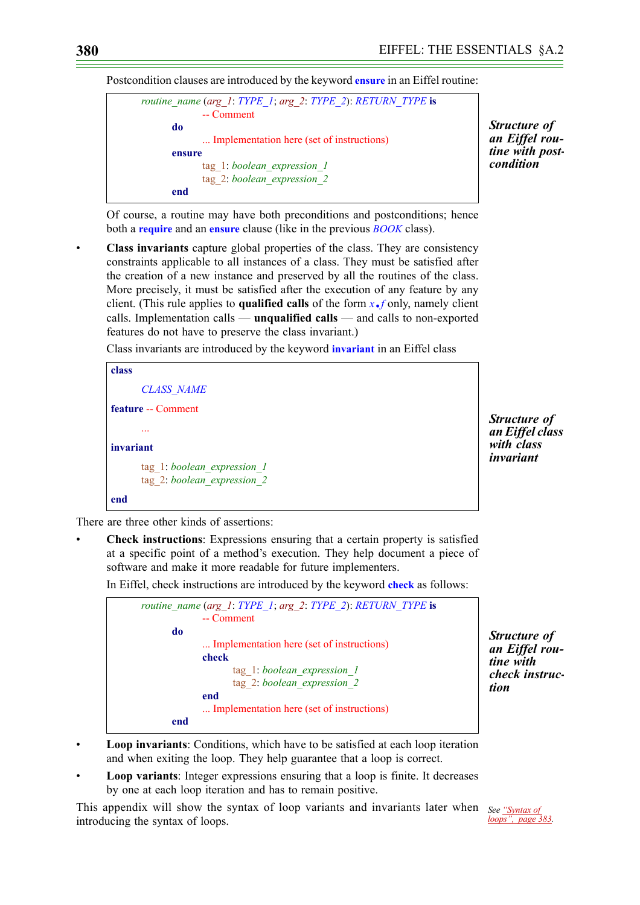Postcondition clauses are introduced by the keyword **ensure** in an Eiffel routine:



*Structure of an Eiffel routine with post- condition*

Of course, a routine may have both preconditions and postconditions; hence both a **require** and an **ensure** clause (like in the previous *BOOK* class).

• **Class invariants** capture global properties of the class. They are consistency constraints applicable to all instances of a class. They must be satisfied after the creation of a new instance and preserved by all the routines of the class. More precisely, it must be satisfied after the execution of any feature by any client. (This rule applies to **qualified calls** of the form *x*.*f* only, namely client calls. Implementation calls — **unqualified calls** — and calls to non-exported features do not have to preserve the class invariant.)

Class invariants are introduced by the keyword **invariant** in an Eiffel class



*Structure of an Eiffel class with class invariant*

There are three other kinds of assertions:

• **Check instructions**: Expressions ensuring that a certain property is satisfied at a specific point of a method's execution. They help document a piece of software and make it more readable for future implementers.

In Eiffel, check instructions are introduced by the keyword **check** as follows:



*Structure of an Eiffel routine with check instruction*

- **Loop invariants**: Conditions, which have to be satisfied at each loop iteration and when exiting the loop. They help guarantee that a loop is correct.
- **Loop variants**: Integer expressions ensuring that a loop is finite. It decreases by one at each loop iteration and has to remain positive.

This appendix will show the syntax of loop variants and invariants later when *See ["Syntax of](#page-10-0)*  introducing the syntax of loops.

*[loops", page 383.](#page-10-0)*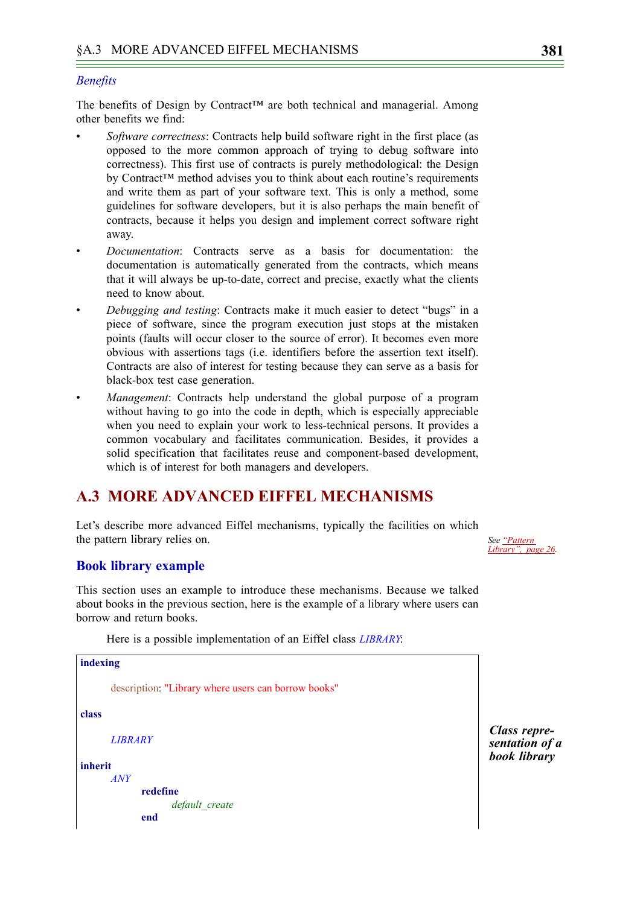#### *Benefits*

The benefits of Design by Contract<sup>™</sup> are both technical and managerial. Among other benefits we find:

- *Software correctness*: Contracts help build software right in the first place (as opposed to the more common approach of trying to debug software into correctness). This first use of contracts is purely methodological: the Design by Contract™ method advises you to think about each routine's requirements and write them as part of your software text. This is only a method, some guidelines for software developers, but it is also perhaps the main benefit of contracts, because it helps you design and implement correct software right away.
- *Documentation*: Contracts serve as a basis for documentation: the documentation is automatically generated from the contracts, which means that it will always be up-to-date, correct and precise, exactly what the clients need to know about.
- *Debugging and testing*: Contracts make it much easier to detect "bugs" in a piece of software, since the program execution just stops at the mistaken points (faults will occur closer to the source of error). It becomes even more obvious with assertions tags (i.e. identifiers before the assertion text itself). Contracts are also of interest for testing because they can serve as a basis for black-box test case generation.
- *Management*: Contracts help understand the global purpose of a program without having to go into the code in depth, which is especially appreciable when you need to explain your work to less-technical persons. It provides a common vocabulary and facilitates communication. Besides, it provides a solid specification that facilitates reuse and component-based development, which is of interest for both managers and developers.

# **A.3 MORE ADVANCED EIFFEL MECHANISMS**

Let's describe more advanced Eiffel mechanisms, typically the facilities on which the pattern library relies on.

*See "Pattern Library", page 26.*

#### **Book library example**

This section uses an example to introduce these mechanisms. Because we talked about books in the previous section, here is the example of a library where users can borrow and return books.

Here is a possible implementation of an Eiffel class *LIBRARY*:

```
indexing
      description: "Library where users can borrow books"
class
      LIBRARY
inherit
      ANY
             redefine
                    default_create
             end
```
<span id="page-8-0"></span>*Class representation of a book library*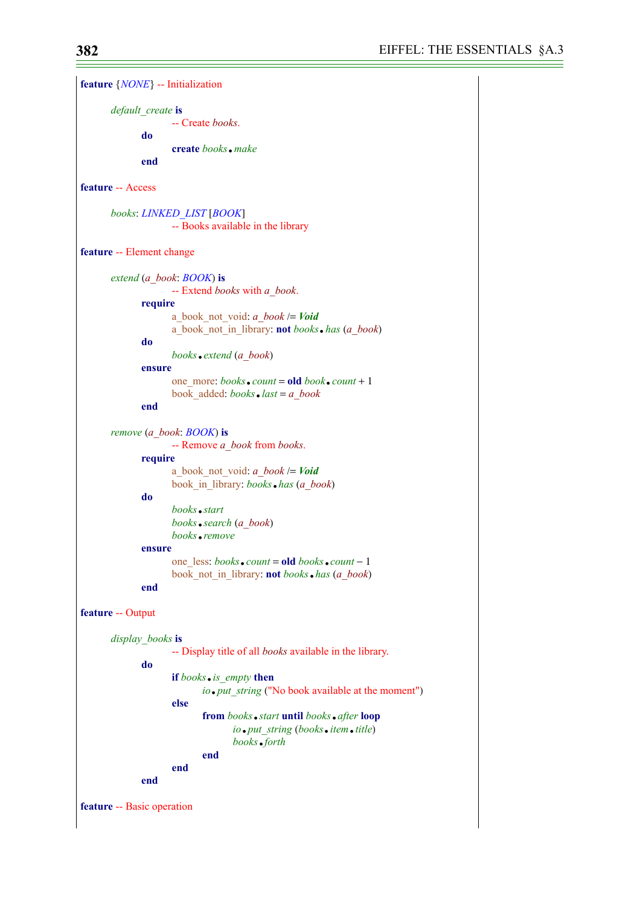| feature $\{NONE\}$ -- Initialization |                                                                                                                                                                                   |
|--------------------------------------|-----------------------------------------------------------------------------------------------------------------------------------------------------------------------------------|
| default create is<br>do<br>end       | -- Create <i>books</i> .<br><b>create</b> books make                                                                                                                              |
| feature -- Access                    |                                                                                                                                                                                   |
|                                      | books: LINKED LIST [BOOK]<br>-- Books available in the library                                                                                                                    |
| feature -- Element change            |                                                                                                                                                                                   |
|                                      | extend (a book: BOOK) is<br>-- Extend books with a book.                                                                                                                          |
| require<br>do                        | a book not void: $a$ book $\prime$ = Void<br>a book not in library: <b>not</b> books. has (a book)<br>books.extend (a book)                                                       |
| ensure<br>end                        | one more: books.count = old book.count + 1<br>book added: $books$ . $last = a$ book                                                                                               |
|                                      | remove (a book: BOOK) is                                                                                                                                                          |
| require<br>do                        | -- Remove a book from books.<br>a book not void: $a$ book $\prime$ = Void<br>book in library: books . has (a book)<br>books start<br>books.search (a book)<br>books <i>remove</i> |
| ensure<br>end                        | one less: books. count = old books. count - 1<br>book not in library: <b>not</b> books . has (a book)                                                                             |
| feature -- Output                    |                                                                                                                                                                                   |
| display books is<br>do               | -- Display title of all <i>books</i> available in the library.<br>if books. is empty then<br>io.put string ("No book available at the moment")<br>else                            |
|                                      | from books • start until books • after loop<br>io.put string (books.item.title)<br>books of orth                                                                                  |
| end                                  | end<br>end                                                                                                                                                                        |
| feature -- Basic operation           |                                                                                                                                                                                   |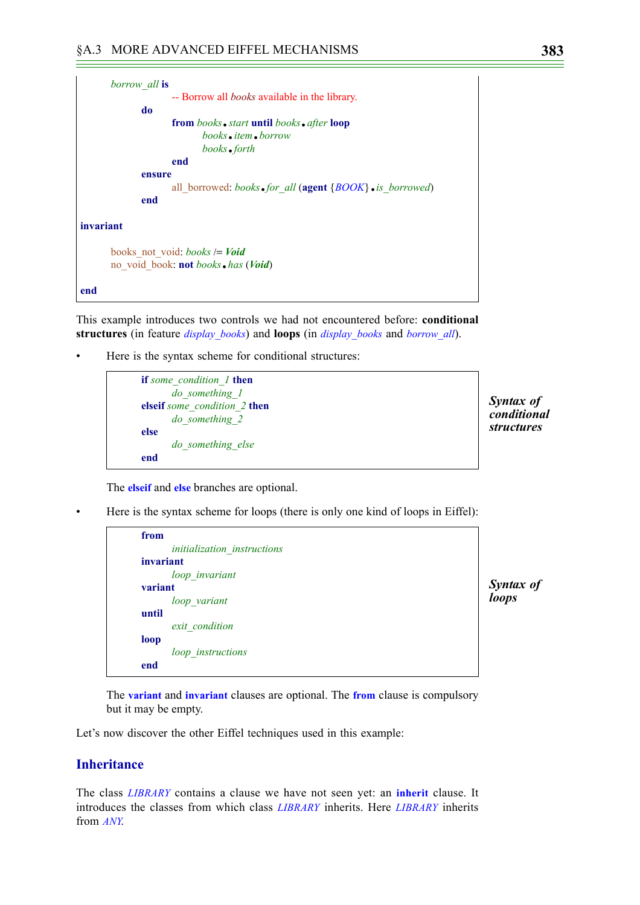```
borrow_all is
                   -- Borrow all books available in the library.
             do
                    from books.start until books.after loop
                          books.item.borrow
                          books.forth
                   end
             ensure
                   all_borrowed: books.for_all (agent {BOOK}.is_borrowed)
             end
invariant
      books_not_void: books /= Void
      no_void_book: not books.has (Void)
end
```
This example introduces two controls we had not encountered before: **conditional structures** (in feature *display\_books*) and **loops** (in *display\_books* and *borrow\_all*).

Here is the syntax scheme for conditional structures:

```
if some_condition_1 then
      do_something_1
elseif some_condition_2 then
      do_something_2
else
      do_something_else
end
```
*Syntax of conditional structures*

<span id="page-10-0"></span>*Syntax of loops*

The **elseif** and **else** branches are optional.

• Here is the syntax scheme for loops (there is only one kind of loops in Eiffel):

```
from
      initialization_instructions
invariant
      loop_invariant
variant
      loop_variant
until
      exit_condition
loop
      loop_instructions
end
```
The **variant** and **invariant** clauses are optional. The **from** clause is compulsory but it may be empty.

Let's now discover the other Eiffel techniques used in this example:

# **Inheritance**

The class *LIBRARY* contains a clause we have not seen yet: an **inherit** clause. It introduces the classes from which class *LIBRARY* inherits. Here *LIBRARY* inherits from *ANY*.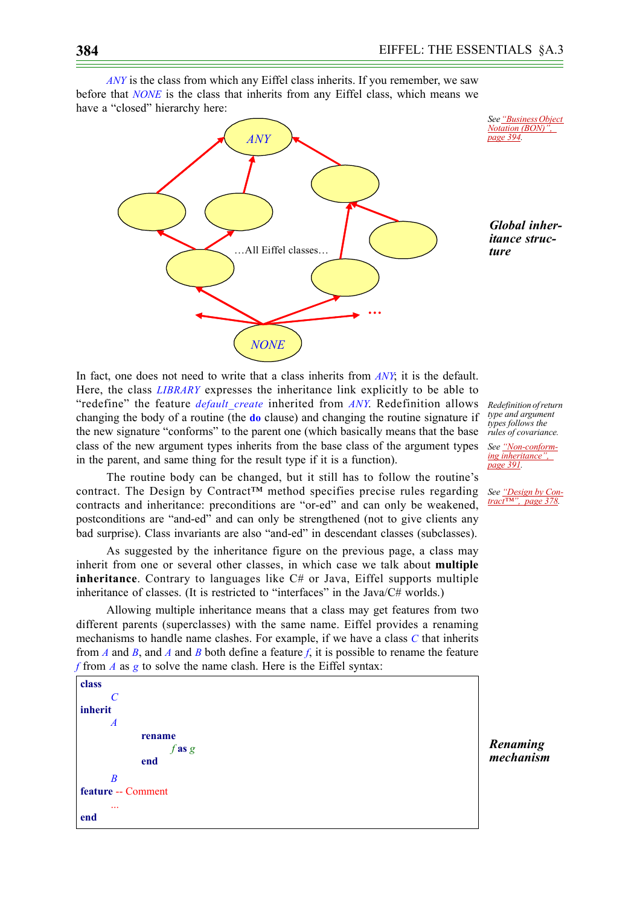*ANY* is the class from which any Eiffel class inherits. If you remember, we saw before that *NONE* is the class that inherits from any Eiffel class, which means we have a "closed" hierarchy here:



*See ["Business Object](#page-21-0)  [Notation \(BON\)",](#page-21-0)* 

*Global inheritance structure*

In fact, one does not need to write that a class inherits from *ANY*; it is the default. Here, the class *LIBRARY* expresses the inheritance link explicitly to be able to "redefine" the feature *default\_create* inherited from *ANY*. Redefinition allows changing the body of a routine (the **do** clause) and changing the routine signature if the new signature "conforms" to the parent one (which basically means that the base class of the new argument types inherits from the base class of the argument types in the parent, and same thing for the result type if it is a function).

The routine body can be changed, but it still has to follow the routine's contract. The Design by Contract<sup>TM</sup> method specifies precise rules regarding contracts and inheritance: preconditions are "or-ed" and can only be weakened, postconditions are "and-ed" and can only be strengthened (not to give clients any bad surprise). Class invariants are also "and-ed" in descendant classes (subclasses).

As suggested by the inheritance figure on the previous page, a class may inherit from one or several other classes, in which case we talk about **multiple inheritance**. Contrary to languages like C# or Java, Eiffel supports multiple inheritance of classes. (It is restricted to "interfaces" in the Java/C# worlds.)

Allowing multiple inheritance means that a class may get features from two different parents (superclasses) with the same name. Eiffel provides a renaming mechanisms to handle name clashes. For example, if we have a class *C* that inherits from *A* and *B*, and *A* and *B* both define a feature *f*, it is possible to rename the feature *f* from *A* as *g* to solve the name clash. Here is the Eiffel syntax:

**class** *C* **inherit** *A* **rename** *f* **as** *g* **end** *B* **feature** -- Comment ... **end**

*Renaming mechanism*

*Redefinition of return type and argument types follows the rules of covariance.*

*See ["Non-conform](#page-18-1)[ing inheritance",](#page-18-1)  [page 391](#page-18-1).*

*See ["Design by Con](#page-5-0)[tract™", page 378.](#page-5-0)*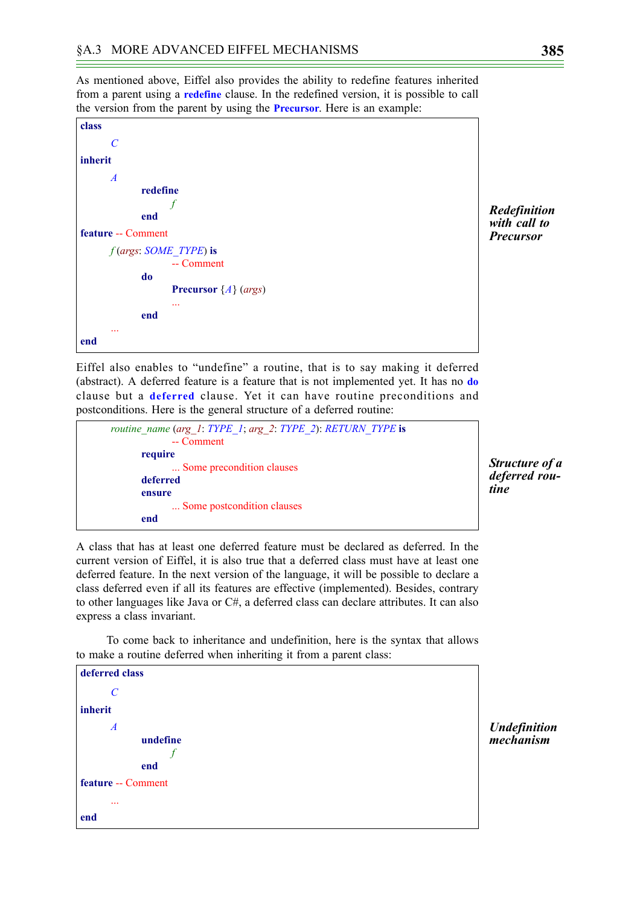As mentioned above, Eiffel also provides the ability to redefine features inherited from a parent using a **redefine** clause. In the redefined version, it is possible to call the version from the parent by using the **Precursor**. Here is an example:

| class                           |
|---------------------------------|
| $\mathcal{C}_{\mathcal{C}}$     |
| inherit                         |
| $\overline{A}$                  |
| redefine                        |
|                                 |
| end                             |
| feature -- Comment              |
| f (args: SOME TYPE) is          |
| -- Comment                      |
| do                              |
| <b>Precursor</b> $\{A\}$ (args) |
| .                               |
| end                             |
| .                               |
| end                             |

*Redefinition with call to Precursor*

Eiffel also enables to "undefine" a routine, that is to say making it deferred (abstract). A deferred feature is a feature that is not implemented yet. It has no **do** clause but a **deferred** clause. Yet it can have routine preconditions and postconditions. Here is the general structure of a deferred routine:

| routine_name (arg_1: TYPE_1; arg 2: TYPE 2): RETURN TYPE is |  |
|-------------------------------------------------------------|--|
| -- Comment                                                  |  |
| require                                                     |  |
| Some precondition clauses                                   |  |
| deferred                                                    |  |
| ensure                                                      |  |
| Some postcondition clauses                                  |  |
| end                                                         |  |

*Structure of a deferred routine*

A class that has at least one deferred feature must be declared as deferred. In the current version of Eiffel, it is also true that a deferred class must have at least one deferred feature. In the next version of the language, it will be possible to declare a class deferred even if all its features are effective (implemented). Besides, contrary to other languages like Java or C#, a deferred class can declare attributes. It can also express a class invariant.

To come back to inheritance and undefinition, here is the syntax that allows to make a routine deferred when inheriting it from a parent class:

**deferred class** *C* **inherit** *A* **undefine** *f* **end feature** -- Comment ... **end**

*Undefinition mechanism*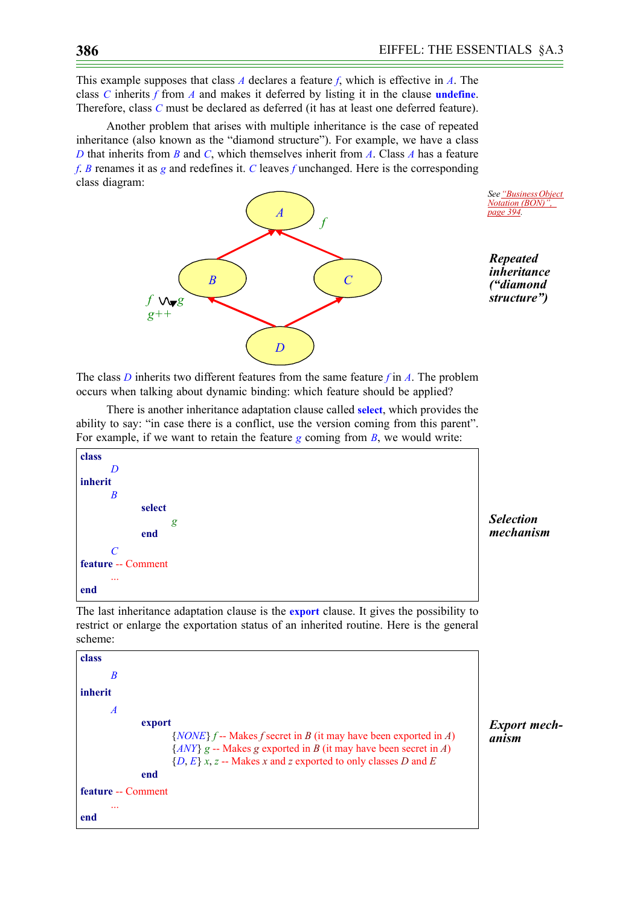This example supposes that class *A* declares a feature *f*, which is effective in *A*. The class *C* inherits *f* from *A* and makes it deferred by listing it in the clause **undefine**. Therefore, class *C* must be declared as deferred (it has at least one deferred feature).

Another problem that arises with multiple inheritance is the case of repeated inheritance (also known as the "diamond structure"). For example, we have a class *D* that inherits from *B* and *C*, which themselves inherit from *A*. Class *A* has a feature *f*. *B* renames it as *g* and redefines it. *C* leaves *f* unchanged. Here is the corresponding class diagram:





*Repeated inheritance ("diamond structure")*

The class *D* inherits two different features from the same feature *f* in *A*. The problem occurs when talking about dynamic binding: which feature should be applied?

There is another inheritance adaptation clause called **select**, which provides the ability to say: "in case there is a conflict, use the version coming from this parent". For example, if we want to retain the feature *g* coming from *B*, we would write:



*Selection mechanism*

*Export mech-*

*anism*

The last inheritance adaptation clause is the **export** clause. It gives the possibility to restrict or enlarge the exportation status of an inherited routine. Here is the general scheme:

```
class
       B
inherit
       A
              export
                     {NONE} f -- Makes f secret in B (it may have been exported in A)
                     {ANY} g -- Makes g exported in B (it may have been secret in A)
                     {D, E} x, z -- Makes x and z exported to only classes D and E
              end
feature -- Comment
       ...
end
```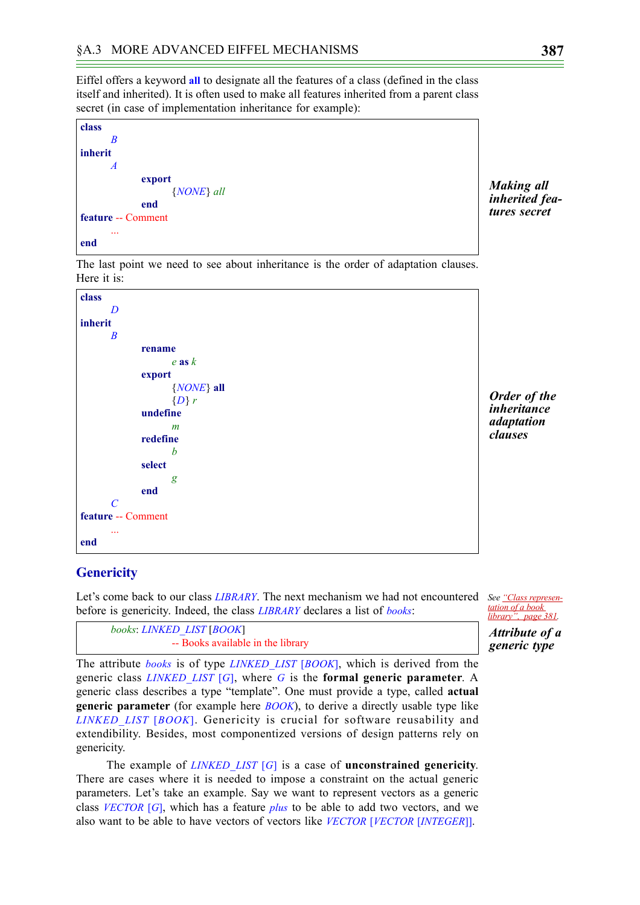Eiffel offers a keyword **all** to designate all the features of a class (defined in the class itself and inherited). It is often used to make all features inherited from a parent class secret (in case of implementation inheritance for example):

| class                     |
|---------------------------|
| B                         |
| inherit                   |
| $\overline{A}$            |
| export                    |
| {NONE} all                |
| end                       |
| <b>feature -- Comment</b> |
|                           |
| end                       |

The last point we need to see about inheritance is the order of adaptation clauses. Here it is:



#### *Order of the inheritance adaptation clauses*

*Making all inherited features secret*

## <span id="page-14-0"></span>**Genericity**

*books*: *LINKED\_LIST* [*BOOK*]

Let's come back to our class *LIBRARY*. The next mechanism we had not encountered See ["Class represen](#page-8-0)before is genericity. Indeed, the class *LIBRARY* declares a list of *books*:

*[tation of a book](#page-8-0)  [library", page 381.](#page-8-0) Attribute of a generic type*

The attribute *books* is of type *LINKED\_LIST* [*BOOK*], which is derived from the generic class *LINKED\_LIST* [*G*], where *G* is the **formal generic parameter**. A generic class describes a type "template". One must provide a type, called **actual generic parameter** (for example here *BOOK*), to derive a directly usable type like *LINKED\_LIST* [*BOOK*]. Genericity is crucial for software reusability and extendibility. Besides, most componentized versions of design patterns rely on genericity.

-- Books available in the library

The example of *LINKED\_LIST* [*G*] is a case of **unconstrained genericity**. There are cases where it is needed to impose a constraint on the actual generic parameters. Let's take an example. Say we want to represent vectors as a generic class *VECTOR* [*G*], which has a feature *plus* to be able to add two vectors, and we also want to be able to have vectors of vectors like *VECTOR* [*VECTOR* [*INTEGER*]].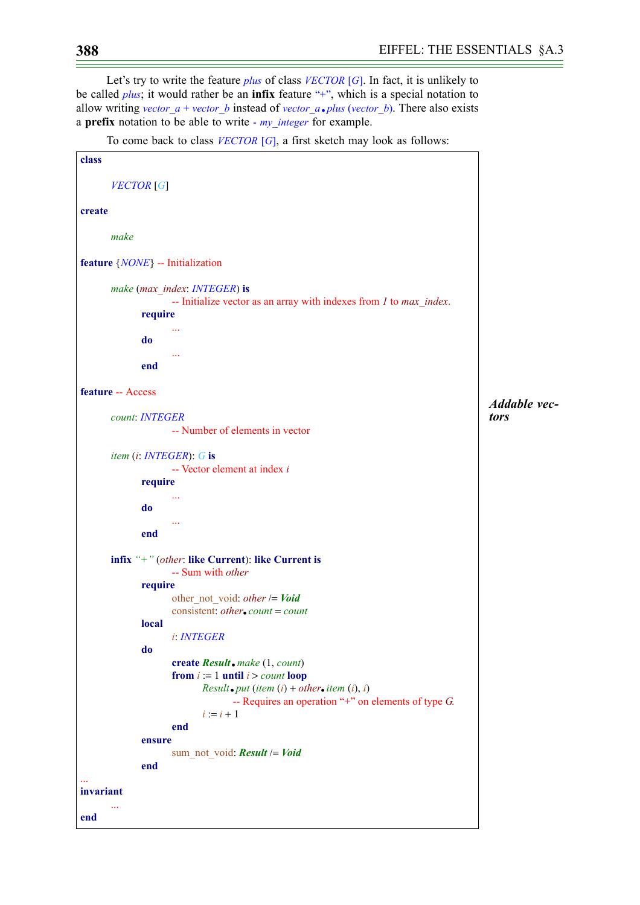Let's try to write the feature *plus* of class *VECTOR* [*G*]. In fact, it is unlikely to be called *plus*; it would rather be an **infix** feature "+", which is a special notation to allow writing *vector*  $a + vector$  *b* instead of *vector*  $a \cdot plus$  *(vector b*). There also exists a **prefix** notation to be able to write - *my\_integer* for example.

To come back to class *VECTOR* [*G*], a first sketch may look as follows:

```
class
       VECTOR [G]
create
      make
feature {NONE} -- Initialization
      make (max_index: INTEGER) is
                    -- Initialize vector as an array with indexes from 1 to max_index.
             require
                     ...
              do
                     ...
              end
feature -- Access
      count: INTEGER
                    -- Number of elements in vector
      item (i: INTEGER): G is
                    -- Vector element at index i
              require
                     ...
              do
                    ...
             end
      infix "+" (other: like Current): like Current is
                    -- Sum with other
             require
                    other_not_void: other /= Void
                    consistent: other.count =count
             local
                    i: INTEGER
              do
                    create Result.make (1, count)
                    from i := 1 until i > count loop
                           Result.put (item (i) + other.item (i), i)
                                  -- Requires an operation "+" on elements of type G.
                           i := i + 1end
             ensure
                    sum_not_void: Result /= Void
              end
...
invariant
       ...
end
                                                                                            Addable vec-
                                                                                            tors
```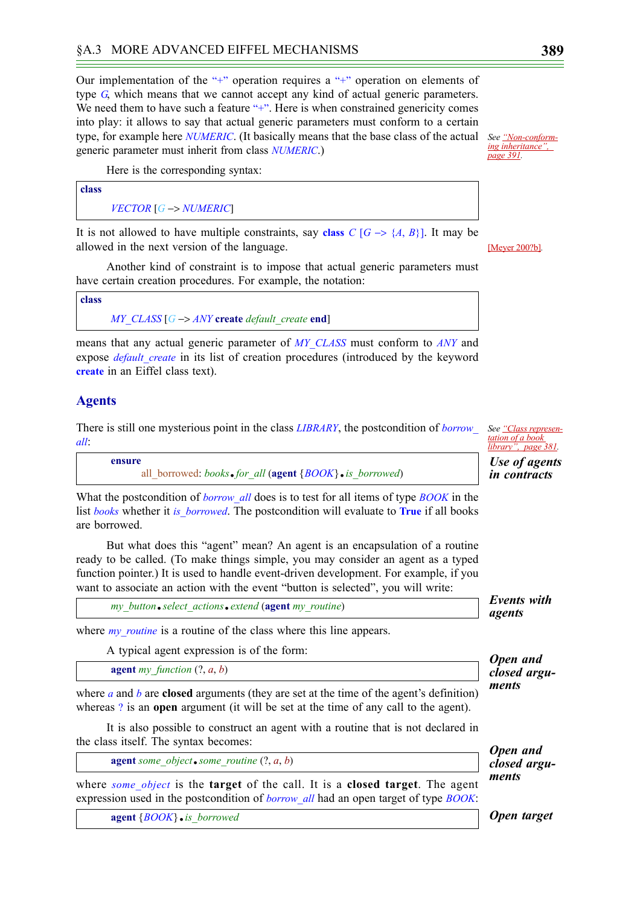Our implementation of the "+" operation requires a "+" operation on elements of type *G*, which means that we cannot accept any kind of actual generic parameters. We need them to have such a feature "+". Here is when constrained genericity comes into play: it allows to say that actual generic parameters must conform to a certain type, for example here *NUMERIC*. (It basically means that the base class of the actual *See ["Non-conform](#page-18-1)*generic parameter must inherit from class *NUMERIC*.)

Here is the corresponding syntax:

| class |                                    |
|-------|------------------------------------|
|       | $VECTOR$ [G $\rightarrow$ NUMERIC] |

It is not allowed to have multiple constraints, say class  $C[G \rightarrow \{A, B\}]$ . It may be allowed in the next version of the language.

Another kind of constraint is to impose that actual generic parameters must have certain creation procedures. For example, the notation:

```
class
      MY_CLASS [G −> ANY create default_create end]
```
means that any actual generic parameter of *MY\_CLASS* must conform to *ANY* and expose *default create* in its list of creation procedures (introduced by the keyword **create** in an Eiffel class text).

# **Agents**

There is still one mysterious point in the class *LIBRARY*, the postcondition of *borrow\_ See ["Class represen](#page-8-0)all*:

| ensure |                                                          |
|--------|----------------------------------------------------------|
|        | all borrowed: books for all (agent ${BOOK}$ is borrowed) |

What the postcondition of *borrow\_all* does is to test for all items of type *BOOK* in the list *books* whether it *is\_borrowed*. The postcondition will evaluate to **True** if all books are borrowed.

But what does this "agent" mean? An agent is an encapsulation of a routine ready to be called. (To make things simple, you may consider an agent as a typed function pointer.) It is used to handle event-driven development. For example, if you want to associate an action with the event "button is selected", you will write:

*my\_button*.*select\_actions*.*extend* (**agent** *my\_routine*)

where *my* routine is a routine of the class where this line appears.

A typical agent expression is of the form:

**agent**  $my$  function  $(?, a, b)$ 

where *a* and *b* are **closed** arguments (they are set at the time of the agent's definition) whereas ? is an **open** argument (it will be set at the time of any call to the agent).

It is also possible to construct an agent with a routine that is not declared in the class itself. The syntax becomes:

**agent** *some\_object*.*some\_routine* (?, *a*, *b*)

where *some\_object* is the **target** of the call. It is a **closed target**. The agent expression used in the postcondition of *borrow\_all* had an open target of type *BOOK*:

**agent** {*BOOK*}.*is\_borrowed*

[Meyer 200?b]*.*

*[ing inheritance",](#page-18-1)  [page 391](#page-18-1).*

*[tation of a book](#page-8-0)  [library", page 381.](#page-8-0) Use of agents in contracts*

*Events with agents*

*Open and closed arguments*

*Open and closed arguments*

*Open target*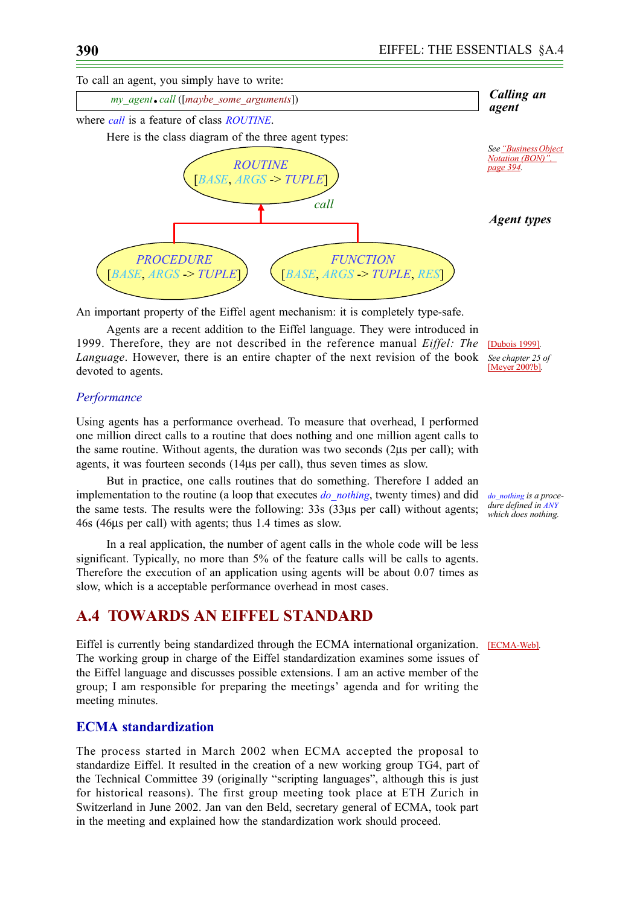To call an agent, you simply have to write:



An important property of the Eiffel agent mechanism: it is completely type-safe.

Agents are a recent addition to the Eiffel language. They were introduced in 1999. Therefore, they are not described in the reference manual *Eiffel: The Language*. However, there is an entire chapter of the next revision of the book *See chapter 25 of*  devoted to agents.

[Dubois 1999]*.* [Meyer 200?b]*.*

*dure defined in ANY which does nothing.*

### *Performance*

Using agents has a performance overhead. To measure that overhead, I performed one million direct calls to a routine that does nothing and one million agent calls to the same routine. Without agents, the duration was two seconds (2µs per call); with agents, it was fourteen seconds (14µs per call), thus seven times as slow.

But in practice, one calls routines that do something. Therefore I added an implementation to the routine (a loop that executes *do\_nothing*, twenty times) and did *do\_nothing is a proce*the same tests. The results were the following: 33s (33µs per call) without agents; 46s (46µs per call) with agents; thus 1.4 times as slow.

In a real application, the number of agent calls in the whole code will be less significant. Typically, no more than 5% of the feature calls will be calls to agents. Therefore the execution of an application using agents will be about 0.07 times as slow, which is a acceptable performance overhead in most cases.

# **A.4 TOWARDS AN EIFFEL STANDARD**

Eiffel is currently being standardized through the ECMA international organization. **[ECMA-Web**]. The working group in charge of the Eiffel standardization examines some issues of the Eiffel language and discusses possible extensions. I am an active member of the group; I am responsible for preparing the meetings' agenda and for writing the meeting minutes.

# **ECMA standardization**

The process started in March 2002 when ECMA accepted the proposal to standardize Eiffel. It resulted in the creation of a new working group TG4, part of the Technical Committee 39 (originally "scripting languages", although this is just for historical reasons). The first group meeting took place at ETH Zurich in Switzerland in June 2002. Jan van den Beld, secretary general of ECMA, took part in the meeting and explained how the standardization work should proceed.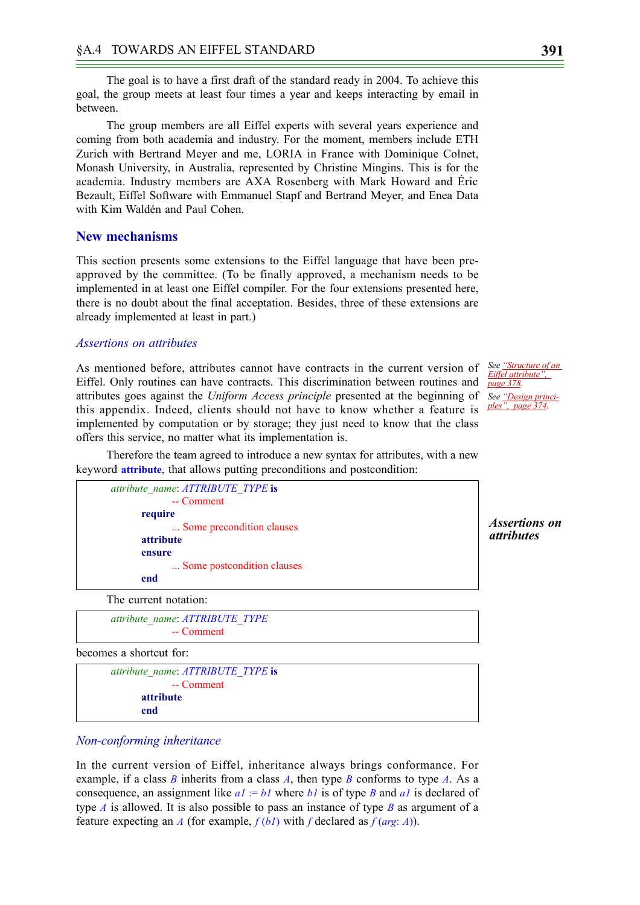The goal is to have a first draft of the standard ready in 2004. To achieve this goal, the group meets at least four times a year and keeps interacting by email in between.

The group members are all Eiffel experts with several years experience and coming from both academia and industry. For the moment, members include ETH Zurich with Bertrand Meyer and me, LORIA in France with Dominique Colnet, Monash University, in Australia, represented by Christine Mingins. This is for the academia. Industry members are AXA Rosenberg with Mark Howard and Éric Bezault, Eiffel Software with Emmanuel Stapf and Bertrand Meyer, and Enea Data with Kim Waldén and Paul Cohen.

## **New mechanisms**

This section presents some extensions to the Eiffel language that have been preapproved by the committee. (To be finally approved, a mechanism needs to be implemented in at least one Eiffel compiler. For the four extensions presented here, there is no doubt about the final acceptation. Besides, three of these extensions are already implemented at least in part.)

#### <span id="page-18-0"></span>*Assertions on attributes*

As mentioned before, attributes cannot have contracts in the current version of *See* "Structure of an Eiffel. Only routines can have contracts. This discrimination between routines and attributes goes against the *Uniform Access principle* presented at the beginning of *See ["Design princi](#page-1-0)*this appendix. Indeed, clients should not have to know whether a feature is *[ples", page 374](#page-1-0).* implemented by computation or by storage; they just need to know that the class offers this service, no matter what its implementation is.

Therefore the team agreed to introduce a new syntax for attributes, with a new keyword **attribute**, that allows putting preconditions and postcondition:



*Assertions on attributes*

*[Eiffel attribute",](#page-5-1)  [page 378](#page-5-1).*

The current notation:

*attribute\_name*: *ATTRIBUTE\_TYPE* -- Comment

becomes a shortcut for:

```
attribute_name: ATTRIBUTE_TYPE is
            -- Comment
      attribute
      end
```
#### <span id="page-18-1"></span>*Non-conforming inheritance*

In the current version of Eiffel, inheritance always brings conformance. For example, if a class *B* inherits from a class *A*, then type *B* conforms to type *A*. As a consequence, an assignment like  $aI := bI$  where  $bI$  is of type *B* and  $aI$  is declared of type *A* is allowed. It is also possible to pass an instance of type *B* as argument of a feature expecting an *A* (for example,  $f(bI)$  with *f* declared as  $f(arg: A)$ ).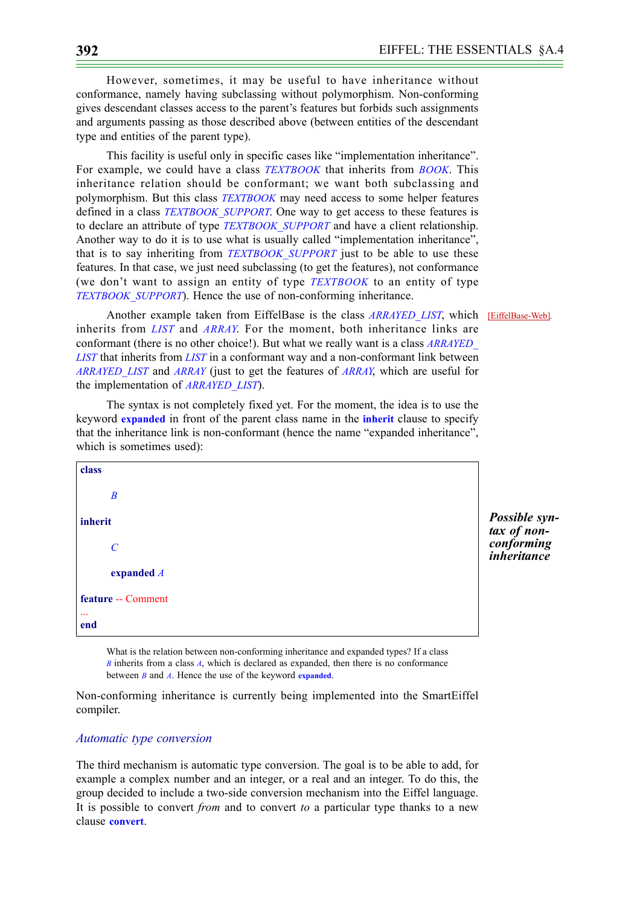However, sometimes, it may be useful to have inheritance without conformance, namely having subclassing without polymorphism. Non-conforming gives descendant classes access to the parent's features but forbids such assignments and arguments passing as those described above (between entities of the descendant type and entities of the parent type).

This facility is useful only in specific cases like "implementation inheritance". For example, we could have a class *TEXTBOOK* that inherits from *BOOK*. This inheritance relation should be conformant; we want both subclassing and polymorphism. But this class *TEXTBOOK* may need access to some helper features defined in a class *TEXTBOOK\_SUPPORT*. One way to get access to these features is to declare an attribute of type *TEXTBOOK\_SUPPORT* and have a client relationship. Another way to do it is to use what is usually called "implementation inheritance", that is to say inheriting from *TEXTBOOK\_SUPPORT* just to be able to use these features. In that case, we just need subclassing (to get the features), not conformance (we don't want to assign an entity of type *TEXTBOOK* to an entity of type *TEXTBOOK\_SUPPORT*). Hence the use of non-conforming inheritance.

Another example taken from EiffelBase is the class **ARRAYED LIST**, which **[EiffelBase-Web]**. inherits from *LIST* and *ARRAY*. For the moment, both inheritance links are conformant (there is no other choice!). But what we really want is a class *ARRAYED\_ LIST* that inherits from *LIST* in a conformant way and a non-conformant link between *ARRAYED\_LIST* and *ARRAY* (just to get the features of *ARRAY*, which are useful for the implementation of *ARRAYED\_LIST*).

The syntax is not completely fixed yet. For the moment, the idea is to use the keyword **expanded** in front of the parent class name in the **inherit** clause to specify that the inheritance link is non-conformant (hence the name "expanded inheritance", which is sometimes used):

```
class
       B
inherit
       C
       expanded A
feature -- Comment
...
end
```
What is the relation between non-conforming inheritance and expanded types? If a class *B* inherits from a class *A*, which is declared as expanded, then there is no conformance between *B* and *A*. Hence the use of the keyword **expanded**.

Non-conforming inheritance is currently being implemented into the SmartEiffel compiler.

#### *Automatic type conversion*

The third mechanism is automatic type conversion. The goal is to be able to add, for example a complex number and an integer, or a real and an integer. To do this, the group decided to include a two-side conversion mechanism into the Eiffel language. It is possible to convert *from* and to convert *to* a particular type thanks to a new clause **convert**.

*Possible syntax of nonconforming inheritance*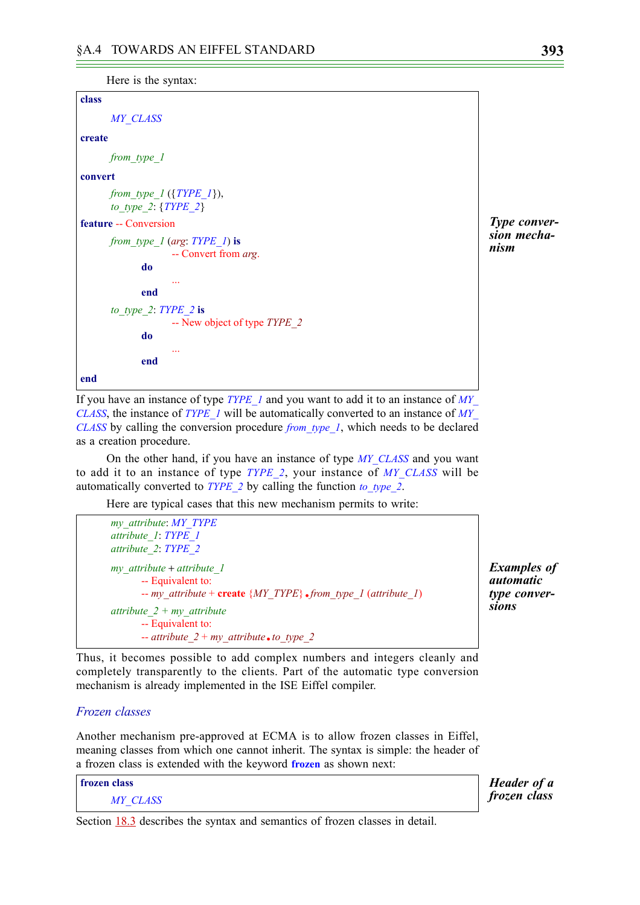```
Here is the syntax:
```

```
class
      MY_CLASS
create
      from_type_1
convert
      from_type_1 ({TYPE_1}),
      to_type_2: {TYPE_2}
feature -- Conversion
      from_type_1 (arg: TYPE_1) is
                   -- Convert from arg.
             do
                    ...
             end
      to_type_2: TYPE_2 is
                    -- New object of type TYPE_2
             do
                    ...
             end
end
```
If you have an instance of type *TYPE 1* and you want to add it to an instance of *MY CLASS*, the instance of *TYPE\_1* will be automatically converted to an instance of *MY\_ CLASS* by calling the conversion procedure *from\_type\_1*, which needs to be declared as a creation procedure.

On the other hand, if you have an instance of type *MY\_CLASS* and you want to add it to an instance of type *TYPE\_2*, your instance of *MY\_CLASS* will be automatically converted to *TYPE\_2* by calling the function *to\_type\_2*.

Here are typical cases that this new mechanism permits to write:

```
my_attribute: MY_TYPE
attribute_1: TYPE_1
attribute_2: TYPE_2
my_attribute + attribute_1
      -- Equivalent to:
      -- my_attribute + create {MY_TYPE}.from_type_1 (attribute_1)
attribute_2 + my_attribute
      -- Equivalent to:
      -attribute 2 + myattribute.to type 2
```
*Examples of automatic type conversions*

Thus, it becomes possible to add complex numbers and integers cleanly and completely transparently to the clients. Part of the automatic type conversion mechanism is already implemented in the ISE Eiffel compiler.

#### *Frozen classes*

Another mechanism pre-approved at ECMA is to allow frozen classes in Eiffel, meaning classes from which one cannot inherit. The syntax is simple: the header of a frozen class is extended with the keyword **frozen** as shown next:

**frozen class** *MY\_CLASS*

*Header of a frozen class*

Section 18.3 describes the syntax and semantics of frozen classes in detail.

*Type conversion mechanism*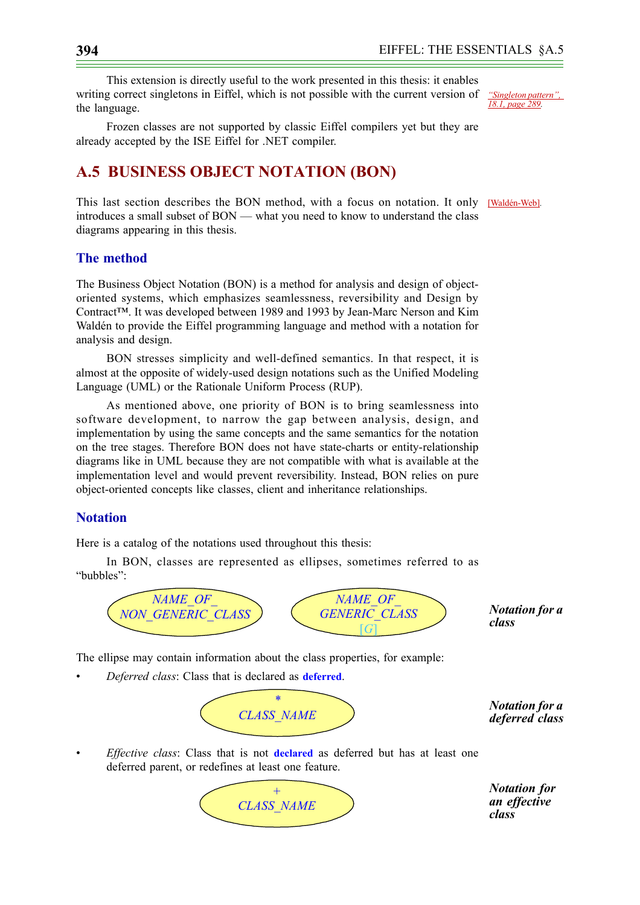This extension is directly useful to the work presented in this thesis: it enables writing correct singletons in Eiffel, which is not possible with the current version of *"Singleton pattern",*  the language.

Frozen classes are not supported by classic Eiffel compilers yet but they are already accepted by the ISE Eiffel for .NET compiler.

# <span id="page-21-0"></span>**A.5 BUSINESS OBJECT NOTATION (BON)**

This last section describes the BON method, with a focus on notation. It only [Waldén-Web]*.* introduces a small subset of BON — what you need to know to understand the class diagrams appearing in this thesis.

# **The method**

The Business Object Notation (BON) is a method for analysis and design of objectoriented systems, which emphasizes seamlessness, reversibility and Design by Contract™. It was developed between 1989 and 1993 by Jean-Marc Nerson and Kim Waldén to provide the Eiffel programming language and method with a notation for analysis and design.

BON stresses simplicity and well-defined semantics. In that respect, it is almost at the opposite of widely-used design notations such as the Unified Modeling Language (UML) or the Rationale Uniform Process (RUP).

As mentioned above, one priority of BON is to bring seamlessness into software development, to narrow the gap between analysis, design, and implementation by using the same concepts and the same semantics for the notation on the tree stages. Therefore BON does not have state-charts or entity-relationship diagrams like in UML because they are not compatible with what is available at the implementation level and would prevent reversibility. Instead, BON relies on pure object-oriented concepts like classes, client and inheritance relationships.

## **Notation**

Here is a catalog of the notations used throughout this thesis:

In BON, classes are represented as ellipses, sometimes referred to as "bubbles":



The ellipse may contain information about the class properties, for example:

• *Deferred class*: Class that is declared as **deferred**.



*deferred class*

• *Effective class*: Class that is not **declared** as deferred but has at least one deferred parent, or redefines at least one feature.



*Notation for an effective class*

*18.1, page 289.*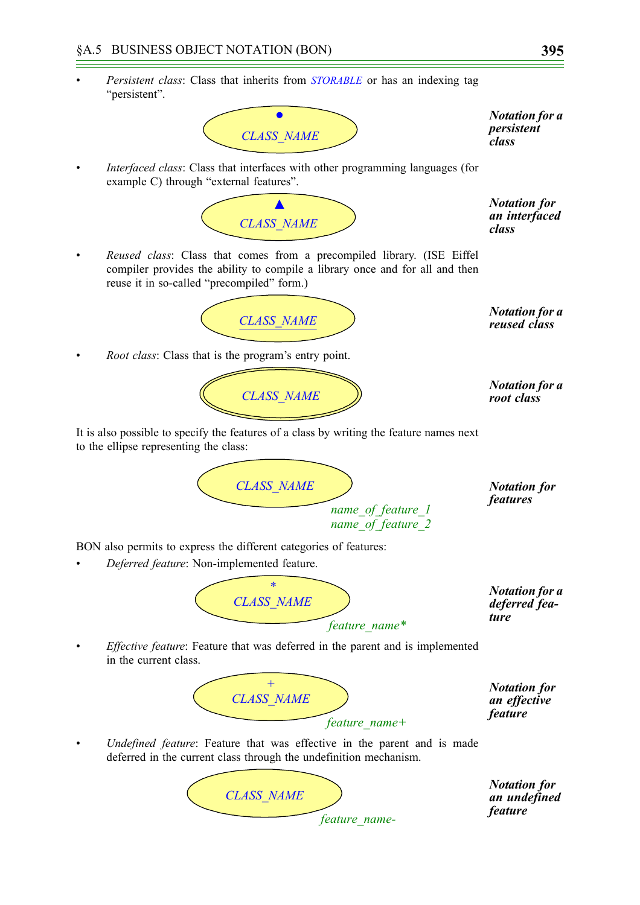• *Persistent class*: Class that inherits from *STORABLE* or has an indexing tag "persistent".



*Notation for a persistent class*

• *Interfaced class*: Class that interfaces with other programming languages (for example C) through "external features".



*Notation for an interfaced class*

• *Reused class*: Class that comes from a precompiled library. (ISE Eiffel compiler provides the ability to compile a library once and for all and then reuse it in so-called "precompiled" form.)



*Root class:* Class that is the program's entry point.



*root class*

*Notation for features*

*reused class*

It is also possible to specify the features of a class by writing the feature names next to the ellipse representing the class:

*CLASS\_NAME name\_of\_feature\_1 name\_of\_feature\_2*

BON also permits to express the different categories of features:

• *Deferred feature*: Non-implemented feature.



*Notation for a deferred feature*

• *Effective feature*: Feature that was deferred in the parent and is implemented in the current class.



*feature\_name-*

*Notation for an effective feature*

• *Undefined feature*: Feature that was effective in the parent and is made deferred in the current class through the undefinition mechanism.

*CLASS\_NAME* 

*Notation for an undefined feature*